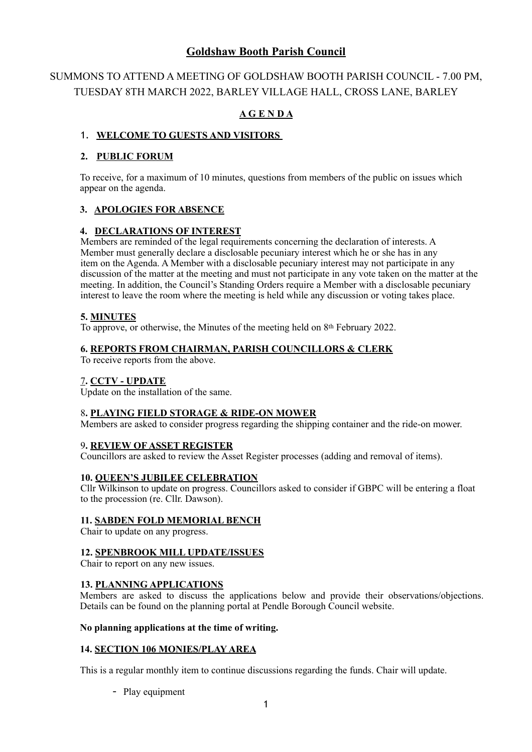# **Goldshaw Booth Parish Council**

# SUMMONS TO ATTEND A MEETING OF GOLDSHAW BOOTH PARISH COUNCIL - 7.00 PM, TUESDAY 8TH MARCH 2022, BARLEY VILLAGE HALL, CROSS LANE, BARLEY

# **A G E N D A**

## 1. **WELCOME TO GUESTS AND VISITORS**

## **2. PUBLIC FORUM**

To receive, for a maximum of 10 minutes, questions from members of the public on issues which appear on the agenda.

## **3. APOLOGIES FOR ABSENCE**

## **4. DECLARATIONS OF INTEREST**

Members are reminded of the legal requirements concerning the declaration of interests. A Member must generally declare a disclosable pecuniary interest which he or she has in any item on the Agenda. A Member with a disclosable pecuniary interest may not participate in any discussion of the matter at the meeting and must not participate in any vote taken on the matter at the meeting. In addition, the Council's Standing Orders require a Member with a disclosable pecuniary interest to leave the room where the meeting is held while any discussion or voting takes place.

## **5. MINUTES**

To approve, or otherwise, the Minutes of the meeting held on 8th February 2022.

## **6. REPORTS FROM CHAIRMAN, PARISH COUNCILLORS & CLERK**

To receive reports from the above.

#### 7**. CCTV - UPDATE**

Update on the installation of the same.

#### 8**. PLAYING FIELD STORAGE & RIDE-ON MOWER**

Members are asked to consider progress regarding the shipping container and the ride-on mower.

#### 9**. REVIEW OF ASSET REGISTER**

Councillors are asked to review the Asset Register processes (adding and removal of items).

#### **10. QUEEN'S JUBILEE CELEBRATION**

Cllr Wilkinson to update on progress. Councillors asked to consider if GBPC will be entering a float to the procession (re. Cllr. Dawson).

#### **11. SABDEN FOLD MEMORIAL BENCH**

Chair to update on any progress.

#### **12. SPENBROOK MILL UPDATE/ISSUES**

Chair to report on any new issues.

#### **13. PLANNING APPLICATIONS**

Members are asked to discuss the applications below and provide their observations/objections. Details can be found on the planning portal at Pendle Borough Council website.

#### **No planning applications at the time of writing.**

#### **14. SECTION 106 MONIES/PLAY AREA**

This is a regular monthly item to continue discussions regarding the funds. Chair will update.

- Play equipment